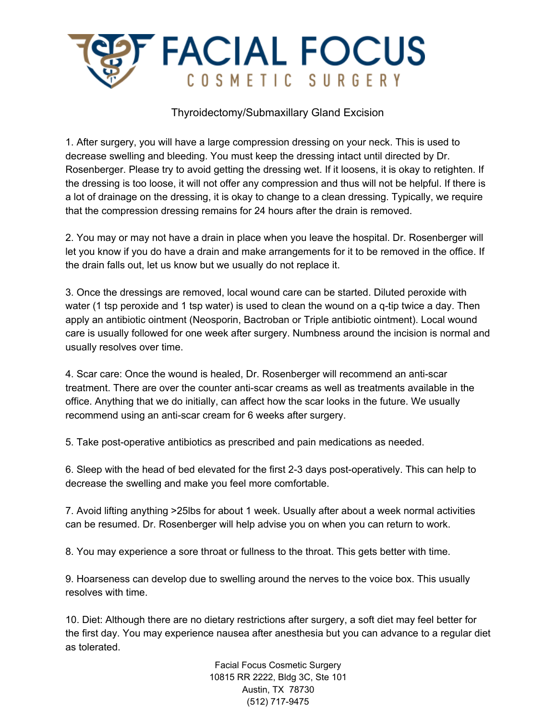

## Thyroidectomy/Submaxillary Gland Excision

1. After surgery, you will have a large compression dressing on your neck. This is used to decrease swelling and bleeding. You must keep the dressing intact until directed by Dr. Rosenberger. Please try to avoid getting the dressing wet. If it loosens, it is okay to retighten. If the dressing is too loose, it will not offer any compression and thus will not be helpful. If there is a lot of drainage on the dressing, it is okay to change to a clean dressing. Typically, we require that the compression dressing remains for 24 hours after the drain is removed.

2. You may or may not have a drain in place when you leave the hospital. Dr. Rosenberger will let you know if you do have a drain and make arrangements for it to be removed in the office. If the drain falls out, let us know but we usually do not replace it.

3. Once the dressings are removed, local wound care can be started. Diluted peroxide with water (1 tsp peroxide and 1 tsp water) is used to clean the wound on a q-tip twice a day. Then apply an antibiotic ointment (Neosporin, Bactroban or Triple antibiotic ointment). Local wound care is usually followed for one week after surgery. Numbness around the incision is normal and usually resolves over time.

4. Scar care: Once the wound is healed, Dr. Rosenberger will recommend an anti-scar treatment. There are over the counter anti-scar creams as well as treatments available in the office. Anything that we do initially, can affect how the scar looks in the future. We usually recommend using an anti-scar cream for 6 weeks after surgery.

5. Take post-operative antibiotics as prescribed and pain medications as needed.

6. Sleep with the head of bed elevated for the first 2-3 days post-operatively. This can help to decrease the swelling and make you feel more comfortable.

7. Avoid lifting anything >25lbs for about 1 week. Usually after about a week normal activities can be resumed. Dr. Rosenberger will help advise you on when you can return to work.

8. You may experience a sore throat or fullness to the throat. This gets better with time.

9. Hoarseness can develop due to swelling around the nerves to the voice box. This usually resolves with time.

10. Diet: Although there are no dietary restrictions after surgery, a soft diet may feel better for the first day. You may experience nausea after anesthesia but you can advance to a regular diet as tolerated.

> Facial Focus Cosmetic Surgery 10815 RR 2222, Bldg 3C, Ste 101 Austin, TX 78730 (512) 717-9475